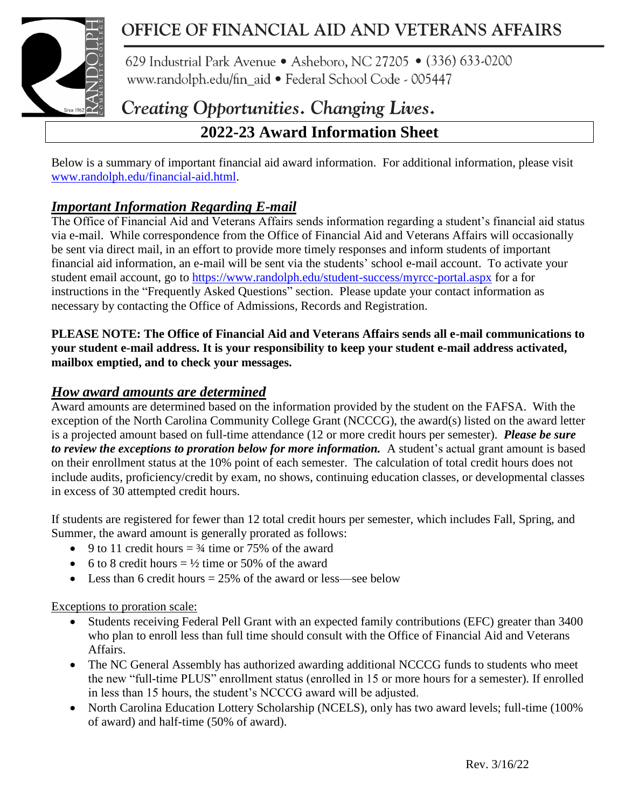

# OFFICE OF FINANCIAL AID AND VETERANS AFFAIRS

629 Industrial Park Avenue • Asheboro, NC 27205 • (336) 633-0200 www.randolph.edu/fin aid · Federal School Code - 005447

# Creating Opportunities. Changing Lives.

# **2022-23 Award Information Sheet**

Below is a summary of important financial aid award information. For additional information, please visit [www.randolph.edu/financial-aid.html.](http://www.randolph.edu/financial-aid.html)

# *Important Information Regarding E-mail*

The Office of Financial Aid and Veterans Affairs sends information regarding a student's financial aid status via e-mail. While correspondence from the Office of Financial Aid and Veterans Affairs will occasionally be sent via direct mail, in an effort to provide more timely responses and inform students of important financial aid information, an e-mail will be sent via the students' school e-mail account. To activate your student email account, go to<https://www.randolph.edu/student-success/myrcc-portal.aspx> for a for instructions in the "Frequently Asked Questions" section. Please update your contact information as necessary by contacting the Office of Admissions, Records and Registration.

#### **PLEASE NOTE: The Office of Financial Aid and Veterans Affairs sends all e-mail communications to your student e-mail address. It is your responsibility to keep your student e-mail address activated, mailbox emptied, and to check your messages.**

## *How award amounts are determined*

Award amounts are determined based on the information provided by the student on the FAFSA. With the exception of the North Carolina Community College Grant (NCCCG), the award(s) listed on the award letter is a projected amount based on full-time attendance (12 or more credit hours per semester). *Please be sure to review the exceptions to proration below for more information.* A student's actual grant amount is based on their enrollment status at the 10% point of each semester. The calculation of total credit hours does not include audits, proficiency/credit by exam, no shows, continuing education classes, or developmental classes in excess of 30 attempted credit hours.

If students are registered for fewer than 12 total credit hours per semester, which includes Fall, Spring, and Summer, the award amount is generally prorated as follows:

- 9 to 11 credit hours  $=$  3/4 time or 75% of the award
- 6 to 8 credit hours  $= \frac{1}{2}$  time or 50% of the award
- Less than 6 credit hours  $= 25\%$  of the award or less—see below

#### Exceptions to proration scale:

- Students receiving Federal Pell Grant with an expected family contributions (EFC) greater than 3400 who plan to enroll less than full time should consult with the Office of Financial Aid and Veterans Affairs.
- The NC General Assembly has authorized awarding additional NCCCG funds to students who meet the new "full-time PLUS" enrollment status (enrolled in 15 or more hours for a semester). If enrolled in less than 15 hours, the student's NCCCG award will be adjusted.
- North Carolina Education Lottery Scholarship (NCELS), only has two award levels; full-time (100% of award) and half-time (50% of award).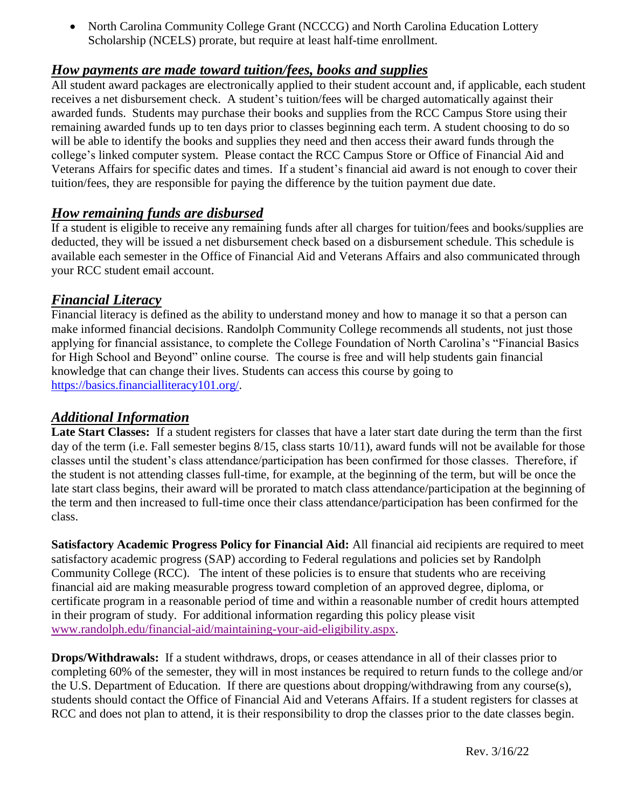• North Carolina Community College Grant (NCCCG) and North Carolina Education Lottery Scholarship (NCELS) prorate, but require at least half-time enrollment.

### *How payments are made toward tuition/fees, books and supplies*

All student award packages are electronically applied to their student account and, if applicable, each student receives a net disbursement check. A student's tuition/fees will be charged automatically against their awarded funds. Students may purchase their books and supplies from the RCC Campus Store using their remaining awarded funds up to ten days prior to classes beginning each term. A student choosing to do so will be able to identify the books and supplies they need and then access their award funds through the college's linked computer system. Please contact the RCC Campus Store or Office of Financial Aid and Veterans Affairs for specific dates and times. If a student's financial aid award is not enough to cover their tuition/fees, they are responsible for paying the difference by the tuition payment due date.

#### *How remaining funds are disbursed*

If a student is eligible to receive any remaining funds after all charges for tuition/fees and books/supplies are deducted, they will be issued a net disbursement check based on a disbursement schedule. This schedule is available each semester in the Office of Financial Aid and Veterans Affairs and also communicated through your RCC student email account.

#### *Financial Literacy*

Financial literacy is defined as the ability to understand money and how to manage it so that a person can make informed financial decisions. Randolph Community College recommends all students, not just those applying for financial assistance, to complete the College Foundation of North Carolina's "Financial Basics for High School and Beyond" online course. The course is free and will help students gain financial knowledge that can change their lives. Students can access this course by going to [https://basics.financialliteracy101.org/.](https://basics.financialliteracy101.org/)

## *Additional Information*

**Late Start Classes:** If a student registers for classes that have a later start date during the term than the first day of the term (i.e. Fall semester begins 8/15, class starts 10/11), award funds will not be available for those classes until the student's class attendance/participation has been confirmed for those classes. Therefore, if the student is not attending classes full-time, for example, at the beginning of the term, but will be once the late start class begins, their award will be prorated to match class attendance/participation at the beginning of the term and then increased to full-time once their class attendance/participation has been confirmed for the class.

**Satisfactory Academic Progress Policy for Financial Aid:** All financial aid recipients are required to meet satisfactory academic progress (SAP) according to Federal regulations and policies set by Randolph Community College (RCC). The intent of these policies is to ensure that students who are receiving financial aid are making measurable progress toward completion of an approved degree, diploma, or certificate program in a reasonable period of time and within a reasonable number of credit hours attempted in their program of study. For additional information regarding this policy please visit [www.randolph.edu/financial-aid/maintaining-your-aid-eligibility.aspx.](http://www.randolph.edu/financial-aid/maintaining-your-aid-eligibility.aspx)

**Drops/Withdrawals:** If a student withdraws, drops, or ceases attendance in all of their classes prior to completing 60% of the semester, they will in most instances be required to return funds to the college and/or the U.S. Department of Education. If there are questions about dropping/withdrawing from any course(s), students should contact the Office of Financial Aid and Veterans Affairs. If a student registers for classes at RCC and does not plan to attend, it is their responsibility to drop the classes prior to the date classes begin.